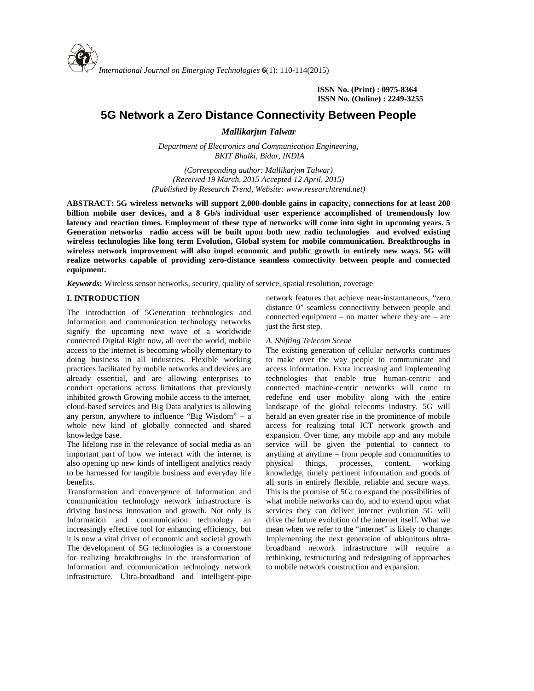

**ISSN No. (Print) : 0975-8364 ISSN No. (Online) : 2249-3255**

# **5G Network a Zero Distance Connectivity Between People**

*Mallikarjun Talwar*

*Department of Electronics and Communication Engineering, BKIT Bhalki, Bidar, INDIA*

*(Corresponding author: Mallikarjun Talwar) (Received 19 March, 2015 Accepted 12 April, 2015) (Published by Research Trend, Website: [www.researchtrend.net\)](www.researchtrend.net)*

**ABSTRACT: 5G wireless networks will support 2,000-double gains in capacity, connections for at least 200 billion mobile user devices, and a 8 Gb/s individual user experience accomplished of tremendously low latency and reaction times. Employment of these type of networks will come into sight in upcoming years. 5 Generation networks radio access will be built upon both new radio technologies and evolved existing wireless technologies like long term Evolution, Global system for mobile communication. Breakthroughs in wireless network improvement will also impel economic and public growth in entirely new ways. 5G will realize networks capable of providing zero-distance seamless connectivity between people and connected equipment.**

*Keywords***:** Wireless sensor networks, security, quality of service, spatial resolution, coverage

# **I. INTRODUCTION**

The introduction of 5Generation technologies and Information and communication technology networks signify the upcoming next wave of a worldwide connected Digital Right now, all over the world, mobile access to the internet is becoming wholly elementary to doing business in all industries. Flexible working practices facilitated by mobile networks and devices are already essential, and are allowing enterprises to conduct operations across limitations that previously inhibited growth Growing mobile access to the internet, cloud-based services and Big Data analytics is allowing any person, anywhere to influence "Big Wisdom" – a whole new kind of globally connected and shared knowledge base.

The lifelong rise in the relevance of social media as an important part of how we interact with the internet is also opening up new kinds of intelligent analytics ready to be harnessed for tangible business and everyday life benefits.

Transformation and convergence of Information and communication technology network infrastructure is driving business innovation and growth. Not only is Information and communication technology an increasingly effective tool for enhancing efficiency, but it is now a vital driver of economic and societal growth The development of 5G technologies is a cornerstone for realizing breakthroughs in the transformation of Information and communication technology network infrastructure. Ultra-broadband and intelligent-pipe

network features that achieve near-instantaneous, "zero distance 0" seamless connectivity between people and connected equipment – no matter where they are – are just the first step.

#### *A. Shifting Telecom Scene*

The existing generation of cellular networks continues to make over the way people to communicate and access information. Extra increasing and implementing technologies that enable true human-centric and connected machine-centric networks will come to redefine end user mobility along with the entire landscape of the global telecoms industry. 5G will herald an even greater rise in the prominence of mobile access for realizing total ICT network growth and expansion. Over time, any mobile app and any mobile service will be given the potential to connect to anything at anytime – from people and communities to things, processes, content, working knowledge, timely pertinent information and goods of all sorts in entirely flexible, reliable and secure ways. This is the promise of 5G: to expand the possibilities of what mobile networks can do, and to extend upon what services they can deliver internet evolution 5G will drive the future evolution of the internet itself. What we mean when we refer to the "internet" is likely to change: Implementing the next generation of ubiquitous ultra broadband network infrastructure will require a rethinking, restructuring and redesigning of approaches to mobile network construction and expansion.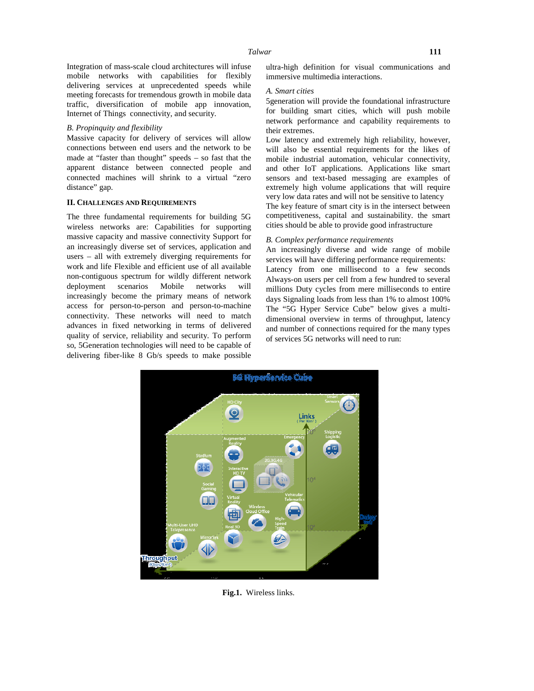Integration of mass-scale cloud architectures will infuse mobile networks with capabilities for flexibly delivering services at unprecedented speeds while meeting forecasts for tremendous growth in mobile data traffic, diversification of mobile app innovation, Internet of Things connectivity, and security.

#### *B. Propinquity and flexibility*

Massive capacity for delivery of services will allow connections between end users and the network to be made at "faster than thought" speeds – so fast that the apparent distance between connected people and connected machines will shrink to a virtual "zero distance" gap.

#### **II. CHALLENGES AND REQUIREMENTS**

The three fundamental requirements for building 5G wireless networks are: Capabilities for supporting massive capacity and massive connectivity Support for an increasingly diverse set of services, application and users – all with extremely diverging requirements for work and life Flexible and efficient use of all available non-contiguous spectrum for wildly different network deployment scenarios Mobile networks will increasingly become the primary means of network access for person-to-person and person-to-machine connectivity. These networks will need to match advances in fixed networking in terms of delivered quality of service, reliability and security. To perform so, 5Generation technologies will need to be capable of delivering fiber-like 8 Gb/s speeds to make possible ultra-high definition for visual communications and immersive multimedia interactions.

#### *A. Smart cities*

5generation will provide the foundational infrastructure for building smart cities, which will push mobile network performance and capability requirements to their extremes.

Low latency and extremely high reliability, however, will also be essential requirements for the likes of mobile industrial automation, vehicular connectivity, and other IoT applications. Applications like smart sensors and text-based messaging are examples of extremely high volume applications that will require very low data rates and will not be sensitive to latency

The key feature of smart city is in the intersect between competitiveness, capital and sustainability. the smart cities should be able to provide good infrastructure

### *B. Complex performance requirements*

An increasingly diverse and wide range of mobile services will have differing performance requirements: Latency from one millisecond to a few seconds Always-on users per cell from a few hundred to several millions Duty cycles from mere milliseconds to entire days Signaling loads from less than 1% to almost 100% The "5G Hyper Service Cube" below gives a multi dimensional overview in terms of throughput, latency and number of connections required for the many types of services 5G networks will need to run:



**Fig.1.** Wireless links.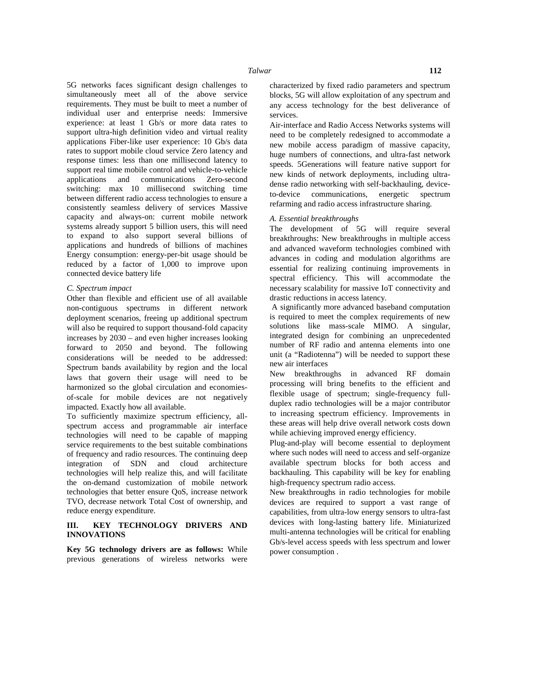5G networks faces significant design challenges to simultaneously meet all of the above service requirements. They must be built to meet a number of individual user and enterprise needs: Immersive experience: at least 1 Gb/s or more data rates to support ultra-high definition video and virtual reality applications Fiber-like user experience: 10 Gb/s data rates to support mobile cloud service Zero latency and response times: less than one millisecond latency to support real time mobile control and vehicle-to-vehicle applications and communications Zero-second switching: max 10 millisecond switching time between different radio access technologies to ensure a consistently seamless delivery of services Massive capacity and always-on: current mobile network systems already support 5 billion users, this will need to expand to also support several billions of applications and hundreds of billions of machines Energy consumption: energy-per-bit usage should be reduced by a factor of 1,000 to improve upon connected device battery life

### *C. Spectrum impact*

Other than flexible and efficient use of all available non-contiguous spectrums in different network deployment scenarios, freeing up additional spectrum will also be required to support thousand-fold capacity increases by 2030 – and even higher increases looking forward to 2050 and beyond. The following considerations will be needed to be addressed: Spectrum bands availability by region and the local laws that govern their usage will need to be harmonized so the global circulation and economies of-scale for mobile devices are not negatively impacted. Exactly how all available.

To sufficiently maximize spectrum efficiency, all spectrum access and programmable air interface technologies will need to be capable of mapping service requirements to the best suitable combinations of frequency and radio resources. The continuing deep integration of SDN and cloud architecture technologies will help realize this, and will facilitate the on-demand customization of mobile network technologies that better ensure QoS, increase network TVO, decrease network Total Cost of ownership, and reduce energy expenditure.

## **III. KEY TECHNOLOGY DRIVERS AND INNOVATIONS**

**Key 5G technology drivers are as follows:** While previous generations of wireless networks were characterized by fixed radio parameters and spectrum blocks, 5G will allow exploitation of any spectrum and any access technology for the best deliverance of services.

Air-interface and Radio Access Networks systems will need to be completely redesigned to accommodate a new mobile access paradigm of massive capacity, huge numbers of connections, and ultra-fast network speeds. 5Generations will feature native support for new kinds of network deployments, including ultra dense radio networking with self-backhauling, deviceto-device communications, energetic spectrum refarming and radio access infrastructure sharing.

#### *A. Essential breakthroughs*

The development of 5G will require several breakthroughs: New breakthroughs in multiple access and advanced waveform technologies combined with advances in coding and modulation algorithms are essential for realizing continuing improvements in spectral efficiency. This will accommodate the necessary scalability for massive IoT connectivity and drastic reductions in access latency.

A significantly more advanced baseband computation is required to meet the complex requirements of new solutions like mass-scale MIMO. A singular, integrated design for combining an unprecedented number of RF radio and antenna elements into one unit (a "Radiotenna") will be needed to support these new air interfaces

New breakthroughs in advanced RF domain processing will bring benefits to the efficient and flexible usage of spectrum; single-frequency full duplex radio technologies will be a major contributor to increasing spectrum efficiency. Improvements in these areas will help drive overall network costs down while achieving improved energy efficiency.

Plug-and-play will become essential to deployment where such nodes will need to access and self-organize available spectrum blocks for both access and backhauling. This capability will be key for enabling high-frequency spectrum radio access.

New breakthroughs in radio technologies for mobile devices are required to support a vast range of capabilities, from ultra-low energy sensors to ultra-fast devices with long-lasting battery life. Miniaturized multi-antenna technologies will be critical for enabling Gb/s-level access speeds with less spectrum and lower power consumption .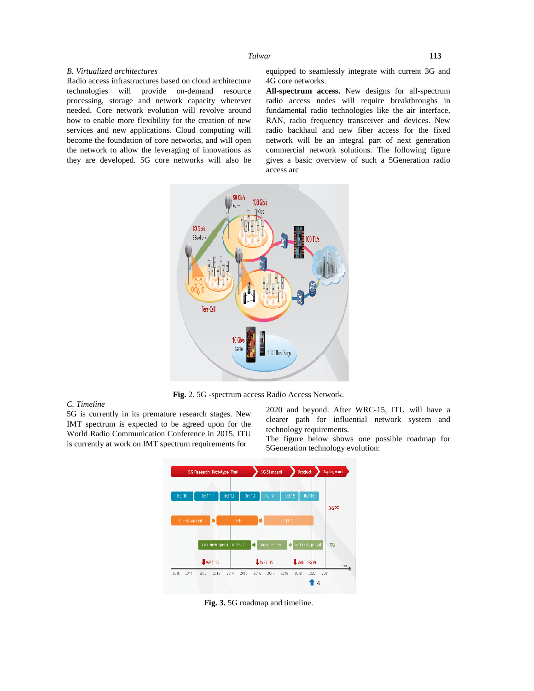#### *Talwar* **113**

#### *B. Virtualized architectures*

Radio access infrastructures based on cloud architecture technologies will provide on-demand resource processing, storage and network capacity wherever needed. Core network evolution will revolve around how to enable more flexibility for the creation of new services and new applications. Cloud computing will become the foundation of core networks, and will open the network to allow the leveraging of innovations as they are developed. 5G core networks will also be

equipped to seamlessly integrate with current 3G and 4G core networks.

**All-spectrum access.** New designs for all-spectrum radio access nodes will require breakthroughs in fundamental radio technologies like the air interface, RAN, radio frequency transceiver and devices. New radio backhaul and new fiber access for the fixed network will be an integral part of next generation commercial network solutions. The following figure gives a basic overview of such a 5Generation radio access arc



**Fig.** 2. 5G -spectrum access Radio Access Network.

# *C. Timeline*

5G is currently in its premature research stages. New IMT spectrum is expected to be agreed upon for the World Radio Communication Conference in 2015. ITU is currently at work on IMT spectrum requirements for

2020 and beyond. After WRC-15, ITU will have a clearer path for influential network system and technology requirements.

The figure below shows one possible roadmap for 5Generation technology evolution:



**Fig. 3.** 5G roadmap and timeline.